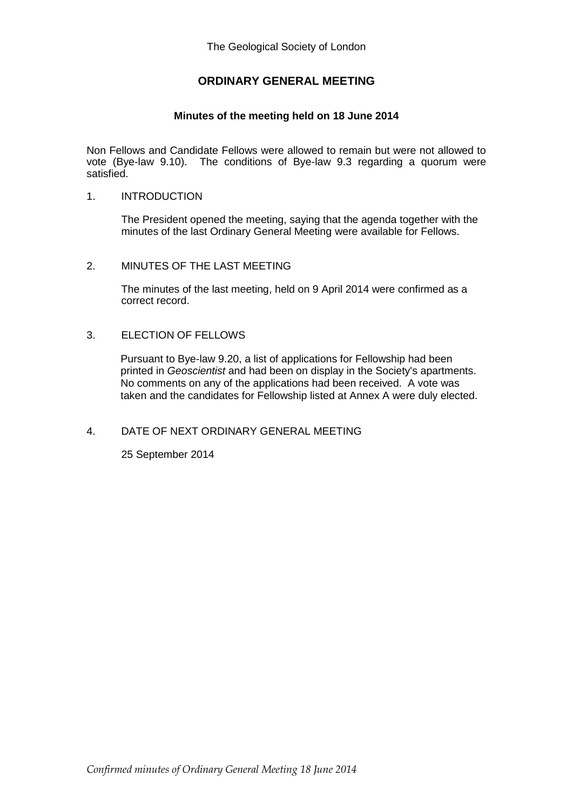# **ORDINARY GENERAL MEETING**

### **Minutes of the meeting held on 18 June 2014**

Non Fellows and Candidate Fellows were allowed to remain but were not allowed to vote (Bye-law 9.10). The conditions of Bye-law 9.3 regarding a quorum were satisfied.

#### 1. INTRODUCTION

The President opened the meeting, saying that the agenda together with the minutes of the last Ordinary General Meeting were available for Fellows.

### 2. MINUTES OF THE LAST MEETING

The minutes of the last meeting, held on 9 April 2014 were confirmed as a correct record.

### 3. ELECTION OF FELLOWS

Pursuant to Bye-law 9.20, a list of applications for Fellowship had been printed in *Geoscientist* and had been on display in the Society's apartments. No comments on any of the applications had been received. A vote was taken and the candidates for Fellowship listed at Annex A were duly elected.

## 4. DATE OF NEXT ORDINARY GENERAL MEETING

25 September 2014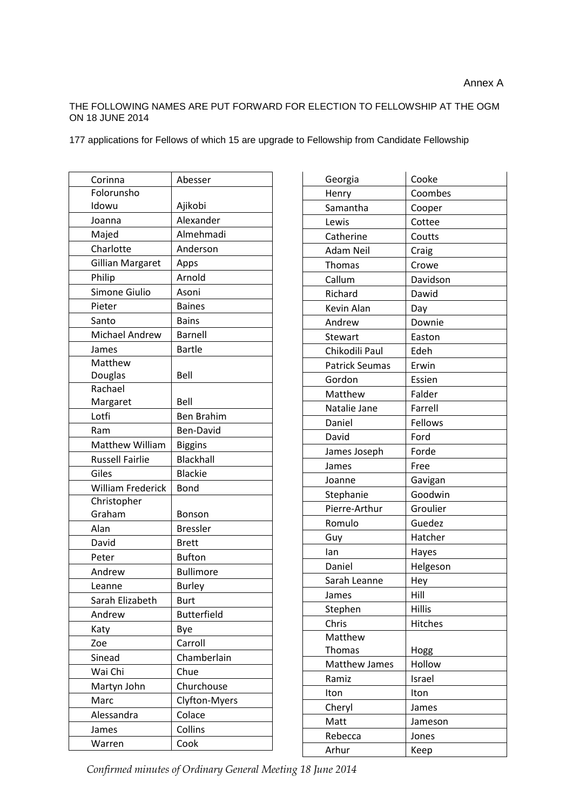#### THE FOLLOWING NAMES ARE PUT FORWARD FOR ELECTION TO FELLOWSHIP AT THE OGM ON 18 JUNE 2014

177 applications for Fellows of which 15 are upgrade to Fellowship from Candidate Fellowship

| Corinna                  | Abesser              |
|--------------------------|----------------------|
| Folorunsho               |                      |
| Idowu                    | Ajikobi              |
| Joanna                   | Alexander            |
| Majed                    | Almehmadi            |
| Charlotte                | Anderson             |
| Gillian Margaret         | Apps                 |
| Philip                   | Arnold               |
| Simone Giulio            | Asoni                |
| Pieter                   | <b>Baines</b>        |
| Santo                    | <b>Bains</b>         |
| <b>Michael Andrew</b>    | Barnell              |
| James                    | <b>Bartle</b>        |
| Matthew                  |                      |
| Douglas                  | Bell                 |
| Rachael                  |                      |
| Margaret                 | Bell                 |
| Lotfi                    | <b>Ben Brahim</b>    |
| Ram                      | Ben-David            |
| Matthew William          | <b>Biggins</b>       |
| <b>Russell Fairlie</b>   | <b>Blackhall</b>     |
| Giles                    | <b>Blackie</b>       |
| <b>William Frederick</b> | Bond                 |
| Christopher              |                      |
| Graham                   | Bonson               |
| Alan                     | <b>Bressler</b>      |
| David                    | <b>Brett</b>         |
| Peter                    | <b>Bufton</b>        |
| Andrew                   | <b>Bullimore</b>     |
| Leanne                   | <b>Burley</b>        |
| Sarah Elizabeth          | Burt                 |
| Andrew                   | <b>Butterfield</b>   |
| Katy                     | Bye                  |
| Zoe                      | Carroll              |
| Sinead                   | Chamberlain          |
| Wai Chi                  | Chue                 |
| Martyn John              | Churchouse           |
| Marc                     | <b>Clyfton-Myers</b> |
| Alessandra               | Colace               |
| James                    | Collins              |
| Warren                   | Cook                 |

| Georgia               | Cooke         |
|-----------------------|---------------|
| Henry<br>Samantha     | Coombes       |
|                       | Cooper        |
| Lewis                 | Cottee        |
| Catherine             | Coutts        |
| Adam Neil             | Craig         |
| <b>Thomas</b>         | Crowe         |
| Callum                | Davidson      |
| Richard               | Dawid         |
| Kevin Alan            | Day           |
| Andrew                | Downie        |
| Stewart               | Easton        |
| Chikodili Paul        | Edeh          |
| <b>Patrick Seumas</b> | Erwin         |
| Gordon                | Essien        |
| Matthew               | Falder        |
| Natalie Jane          | Farrell       |
| Daniel                | Fellows       |
| David                 | Ford          |
| James Joseph          | Forde         |
| James                 | Free          |
| Joanne                | Gavigan       |
| Stephanie             | Goodwin       |
| Pierre-Arthur         | Groulier      |
| Romulo                | Guedez        |
| Guy                   | Hatcher       |
| lan                   | Hayes         |
| Daniel                | Helgeson      |
| Sarah Leanne          | Hey           |
| James                 | Hill          |
| Stephen               | <b>Hillis</b> |
| Chris                 | Hitches       |
| Matthew               |               |
| <b>Thomas</b>         | Hogg          |
| <b>Matthew James</b>  | Hollow        |
| Ramiz                 | Israel        |
| Iton                  | Iton          |
| Cheryl                | James         |
| Matt                  | Jameson       |
| Rebecca               | Jones         |
| Arhur                 | Keep          |

*Confirmed minutes of Ordinary General Meeting 18 June 2014*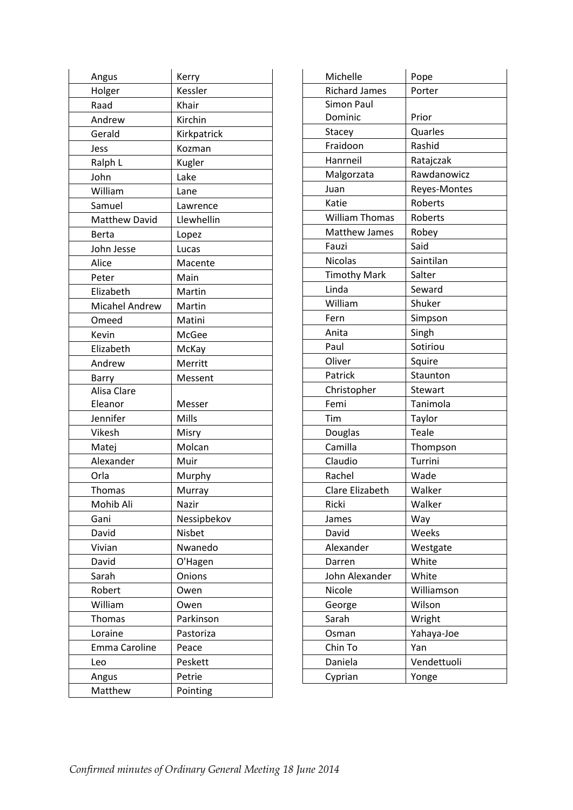| Angus                 | Kerry       |
|-----------------------|-------------|
| Holger                | Kessler     |
| Raad                  | Khair       |
| Andrew                | Kirchin     |
| Gerald                | Kirkpatrick |
| Jess                  | Kozman      |
| Ralph L               | Kugler      |
| John                  | Lake        |
| William               | Lane        |
| Samuel                | Lawrence    |
| Matthew David         | Llewhellin  |
| Berta                 | Lopez       |
| John Jesse            | Lucas       |
| Alice                 | Macente     |
| Peter                 | Main        |
| Elizabeth             | Martin      |
| <b>Micahel Andrew</b> | Martin      |
| Omeed                 | Matini      |
| Kevin                 | McGee       |
| Elizabeth             | McKay       |
| Andrew                | Merritt     |
| Barry                 | Messent     |
| Alisa Clare           |             |
| Eleanor               | Messer      |
| Jennifer              | Mills       |
| Vikesh                | Misry       |
| Matej                 | Molcan      |
| Alexander             | Muir        |
| Orla                  | Murphy      |
| <b>Thomas</b>         | Murray      |
| Mohib Ali             | Nazir       |
| Gani                  | Nessipbekov |
| David                 | Nisbet      |
| Vivian                | Nwanedo     |
| David                 | O'Hagen     |
| Sarah                 | Onions      |
| Robert                | Owen        |
| William               | Owen        |
| Thomas                | Parkinson   |
| Loraine               | Pastoriza   |
| Emma Caroline         | Peace       |
| Leo                   | Peskett     |
| Angus                 | Petrie      |
| Matthew               | Pointing    |

| Michelle              | Pope         |
|-----------------------|--------------|
| <b>Richard James</b>  | Porter       |
| <b>Simon Paul</b>     |              |
| Dominic               | Prior        |
| Stacey                | Quarles      |
| Fraidoon              | Rashid       |
| Hanrneil              | Ratajczak    |
| Malgorzata            | Rawdanowicz  |
| Juan                  | Reyes-Montes |
| Katie                 | Roberts      |
| <b>William Thomas</b> | Roberts      |
| <b>Matthew James</b>  | Robey        |
| Fauzi                 | Said         |
| <b>Nicolas</b>        | Saintilan    |
| <b>Timothy Mark</b>   | Salter       |
| Linda                 | Seward       |
| William               | Shuker       |
| Fern                  | Simpson      |
| Anita                 | Singh        |
| Paul                  | Sotiriou     |
| Oliver                | Squire       |
| Patrick               | Staunton     |
| Christopher           | Stewart      |
| Femi                  | Tanimola     |
| Tim                   | Taylor       |
| Douglas               | Teale        |
| Camilla               | Thompson     |
| Claudio               | Turrini      |
| Rachel                | Wade         |
| Clare Elizabeth       | Walker       |
| Ricki                 | Walker       |
| James                 | Way          |
| David                 | Weeks        |
| Alexander             | Westgate     |
| Darren                | White        |
| John Alexander        | White        |
| Nicole                | Williamson   |
| George                | Wilson       |
| Sarah                 | Wright       |
| Osman                 | Yahaya-Joe   |
| Chin To               | Yan          |
| Daniela               | Vendettuoli  |
| Cyprian               | Yonge        |